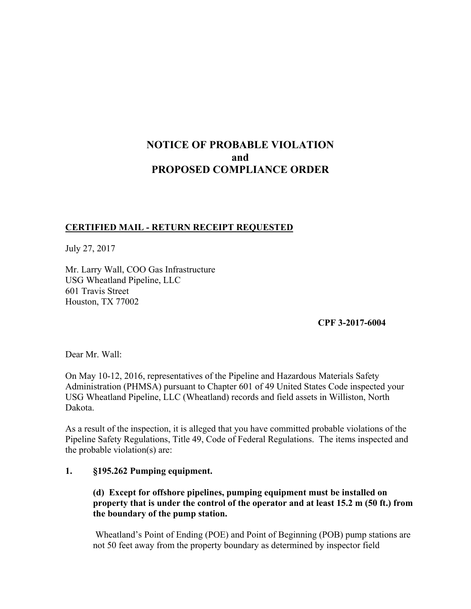# **NOTICE OF PROBABLE VIOLATION and PROPOSED COMPLIANCE ORDER**

## **CERTIFIED MAIL - RETURN RECEIPT REQUESTED**

July 27, 2017

Mr. Larry Wall, COO Gas Infrastructure USG Wheatland Pipeline, LLC 601 Travis Street Houston, TX 77002

**CPF 3-2017-6004**

Dear Mr. Wall:

On May 10-12, 2016, representatives of the Pipeline and Hazardous Materials Safety Administration (PHMSA) pursuant to Chapter 601 of 49 United States Code inspected your USG Wheatland Pipeline, LLC (Wheatland) records and field assets in Williston, North Dakota.

As a result of the inspection, it is alleged that you have committed probable violations of the Pipeline Safety Regulations, Title 49, Code of Federal Regulations. The items inspected and the probable violation(s) are:

#### **1. §195.262 Pumping equipment.**

## **(d) Except for offshore pipelines, pumping equipment must be installed on property that is under the control of the operator and at least 15.2 m (50 ft.) from the boundary of the pump station.**

 Wheatland's Point of Ending (POE) and Point of Beginning (POB) pump stations are not 50 feet away from the property boundary as determined by inspector field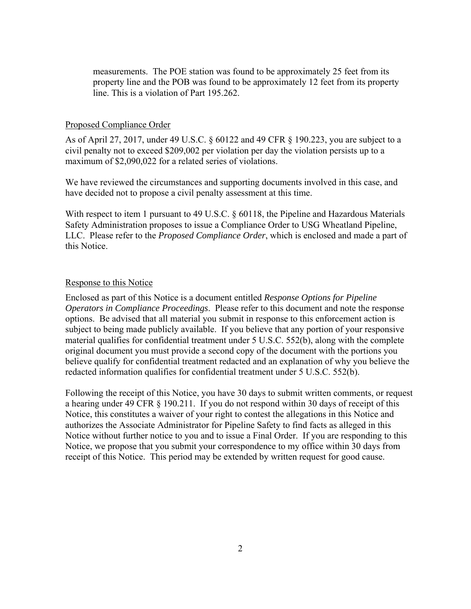measurements. The POE station was found to be approximately 25 feet from its property line and the POB was found to be approximately 12 feet from its property line. This is a violation of Part 195.262.

#### Proposed Compliance Order

As of April 27, 2017, under 49 U.S.C. § 60122 and 49 CFR § 190.223, you are subject to a civil penalty not to exceed \$209,002 per violation per day the violation persists up to a maximum of \$2,090,022 for a related series of violations.

We have reviewed the circumstances and supporting documents involved in this case, and have decided not to propose a civil penalty assessment at this time.

With respect to item 1 pursuant to 49 U.S.C. § 60118, the Pipeline and Hazardous Materials Safety Administration proposes to issue a Compliance Order to USG Wheatland Pipeline, LLC. Please refer to the *Proposed Compliance Order*, which is enclosed and made a part of this Notice.

#### Response to this Notice

Enclosed as part of this Notice is a document entitled *Response Options for Pipeline Operators in Compliance Proceedings*. Please refer to this document and note the response options. Be advised that all material you submit in response to this enforcement action is subject to being made publicly available. If you believe that any portion of your responsive material qualifies for confidential treatment under 5 U.S.C. 552(b), along with the complete original document you must provide a second copy of the document with the portions you believe qualify for confidential treatment redacted and an explanation of why you believe the redacted information qualifies for confidential treatment under 5 U.S.C. 552(b).

Following the receipt of this Notice, you have 30 days to submit written comments, or request a hearing under 49 CFR § 190.211. If you do not respond within 30 days of receipt of this Notice, this constitutes a waiver of your right to contest the allegations in this Notice and authorizes the Associate Administrator for Pipeline Safety to find facts as alleged in this Notice without further notice to you and to issue a Final Order. If you are responding to this Notice, we propose that you submit your correspondence to my office within 30 days from receipt of this Notice. This period may be extended by written request for good cause.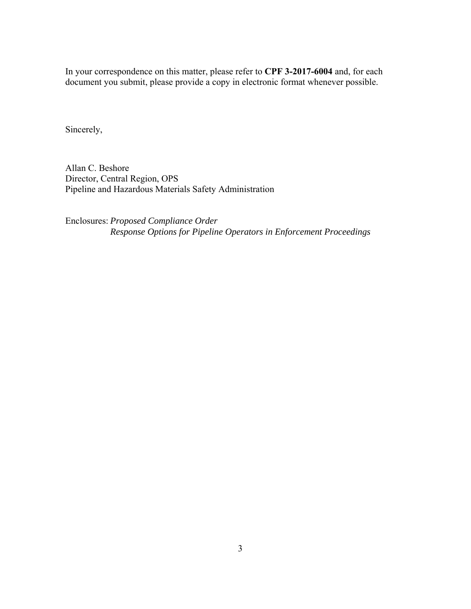In your correspondence on this matter, please refer to **CPF 3-2017-6004** and, for each document you submit, please provide a copy in electronic format whenever possible.

Sincerely,

Allan C. Beshore Director, Central Region, OPS Pipeline and Hazardous Materials Safety Administration

Enclosures: *Proposed Compliance Order Response Options for Pipeline Operators in Enforcement Proceedings*